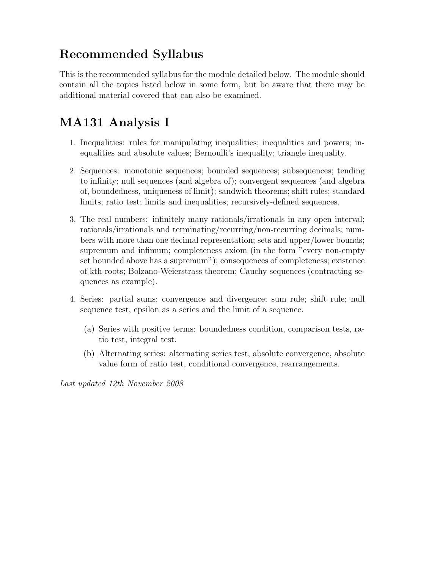## Recommended Syllabus

This is the recommended syllabus for the module detailed below. The module should contain all the topics listed below in some form, but be aware that there may be additional material covered that can also be examined.

## MA131 Analysis I

- 1. Inequalities: rules for manipulating inequalities; inequalities and powers; inequalities and absolute values; Bernoulli's inequality; triangle inequality.
- 2. Sequences: monotonic sequences; bounded sequences; subsequences; tending to infinity; null sequences (and algebra of); convergent sequences (and algebra of, boundedness, uniqueness of limit); sandwich theorems; shift rules; standard limits; ratio test; limits and inequalities; recursively-defined sequences.
- 3. The real numbers: infinitely many rationals/irrationals in any open interval; rationals/irrationals and terminating/recurring/non-recurring decimals; numbers with more than one decimal representation; sets and upper/lower bounds; supremum and infimum; completeness axiom (in the form "every non-empty set bounded above has a supremum"); consequences of completeness; existence of kth roots; Bolzano-Weierstrass theorem; Cauchy sequences (contracting sequences as example).
- 4. Series: partial sums; convergence and divergence; sum rule; shift rule; null sequence test, epsilon as a series and the limit of a sequence.
	- (a) Series with positive terms: boundedness condition, comparison tests, ratio test, integral test.
	- (b) Alternating series: alternating series test, absolute convergence, absolute value form of ratio test, conditional convergence, rearrangements.

Last updated 12th November 2008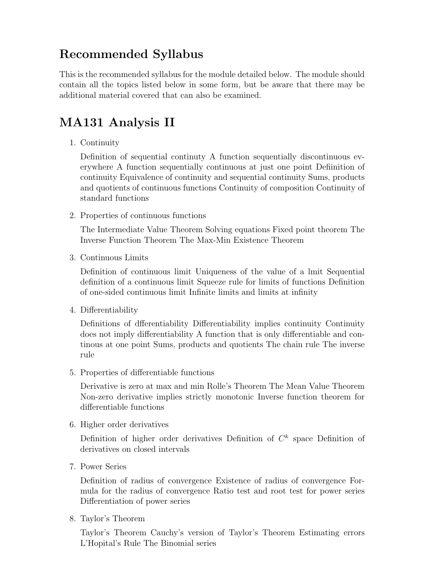## Recommended Syllabus

This is the recommended syllabus for the module detailed below. The module should contain all the topics listed below in some form, but be aware that there may be additional material covered that can also be examined.

## MA131 Analysis II

1. Continuity

Definition of sequential continuty A function sequentially discontinuous everywhere A function sequentially continuous at just one point Defiinition of continuity Equivalence of continuity and sequential continuity Sums, products and quotients of continuous functions Continuity of composition Continuity of standard functions

2. Properties of continuous functions

The Intermediate Value Theorem Solving equations Fixed point theorem The Inverse Function Theorem The Max-Min Existence Theorem

3. Continuous Limits

Definition of continuous limit Uniqueness of the value of a lmit Sequential definition of a continuous limit Squeeze rule for limits of functions Definition of one-sided continuous limit Infinite limits and limits at infinity

4. Differentiability

Definitions of dfferentiability Differentiability implies continuity Continuity does not imply differentiability A function that is only differentiable and continous at one point Sums, products and quotients The chain rule The inverse rule

5. Properties of differentiable functions

Derivative is zero at max and min Rolle's Theorem The Mean Value Theorem Non-zero derivative implies strictly monotonic Inverse function theorem for differentiable functions

6. Higher order derivatives

Definition of higher order derivatives Definition of  $C<sup>k</sup>$  space Definition of derivatives on closed intervals

7. Power Series

Definition of radius of convergence Existence of radius of convergence Formula for the radius of convergence Ratio test and root test for power series Differentiation of power series

8. Taylor's Theorem

Taylor's Theorem Cauchy's version of Taylor's Theorem Estimating errors L'Hopital's Rule The Binomial series